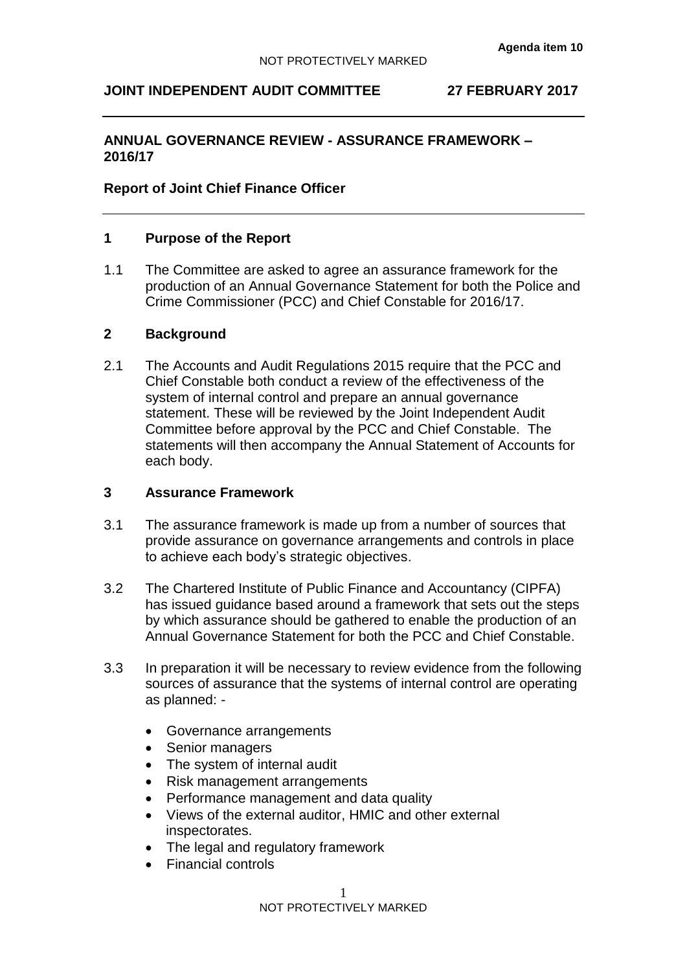## **JOINT INDEPENDENT AUDIT COMMITTEE 27 FEBRUARY 2017**

## **ANNUAL GOVERNANCE REVIEW - ASSURANCE FRAMEWORK – 2016/17**

#### **Report of Joint Chief Finance Officer**

#### **1 Purpose of the Report**

1.1 The Committee are asked to agree an assurance framework for the production of an Annual Governance Statement for both the Police and Crime Commissioner (PCC) and Chief Constable for 2016/17.

#### **2 Background**

2.1 The Accounts and Audit Regulations 2015 require that the PCC and Chief Constable both conduct a review of the effectiveness of the system of internal control and prepare an annual governance statement. These will be reviewed by the Joint Independent Audit Committee before approval by the PCC and Chief Constable. The statements will then accompany the Annual Statement of Accounts for each body.

#### **3 Assurance Framework**

- 3.1 The assurance framework is made up from a number of sources that provide assurance on governance arrangements and controls in place to achieve each body's strategic objectives.
- 3.2 The Chartered Institute of Public Finance and Accountancy (CIPFA) has issued guidance based around a framework that sets out the steps by which assurance should be gathered to enable the production of an Annual Governance Statement for both the PCC and Chief Constable.
- 3.3 In preparation it will be necessary to review evidence from the following sources of assurance that the systems of internal control are operating as planned: -
	- Governance arrangements
	- Senior managers
	- The system of internal audit
	- Risk management arrangements
	- Performance management and data quality
	- Views of the external auditor, HMIC and other external inspectorates.
	- The legal and regulatory framework
	- Financial controls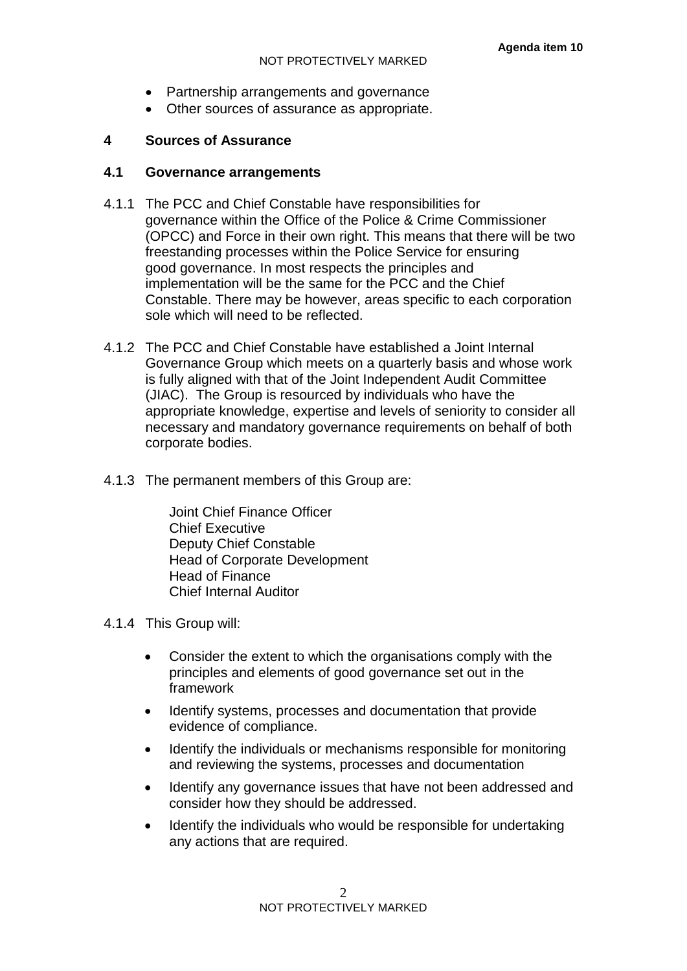- Partnership arrangements and governance
- Other sources of assurance as appropriate.

# **4 Sources of Assurance**

## **4.1 Governance arrangements**

- 4.1.1 The PCC and Chief Constable have responsibilities for governance within the Office of the Police & Crime Commissioner (OPCC) and Force in their own right. This means that there will be two freestanding processes within the Police Service for ensuring good governance. In most respects the principles and implementation will be the same for the PCC and the Chief Constable. There may be however, areas specific to each corporation sole which will need to be reflected.
- 4.1.2 The PCC and Chief Constable have established a Joint Internal Governance Group which meets on a quarterly basis and whose work is fully aligned with that of the Joint Independent Audit Committee (JIAC). The Group is resourced by individuals who have the appropriate knowledge, expertise and levels of seniority to consider all necessary and mandatory governance requirements on behalf of both corporate bodies.
- 4.1.3 The permanent members of this Group are:

Joint Chief Finance Officer Chief Executive Deputy Chief Constable Head of Corporate Development Head of Finance Chief Internal Auditor

4.1.4 This Group will:

- Consider the extent to which the organisations comply with the principles and elements of good governance set out in the framework
- Identify systems, processes and documentation that provide evidence of compliance.
- Identify the individuals or mechanisms responsible for monitoring and reviewing the systems, processes and documentation
- Identify any governance issues that have not been addressed and consider how they should be addressed.
- Identify the individuals who would be responsible for undertaking any actions that are required.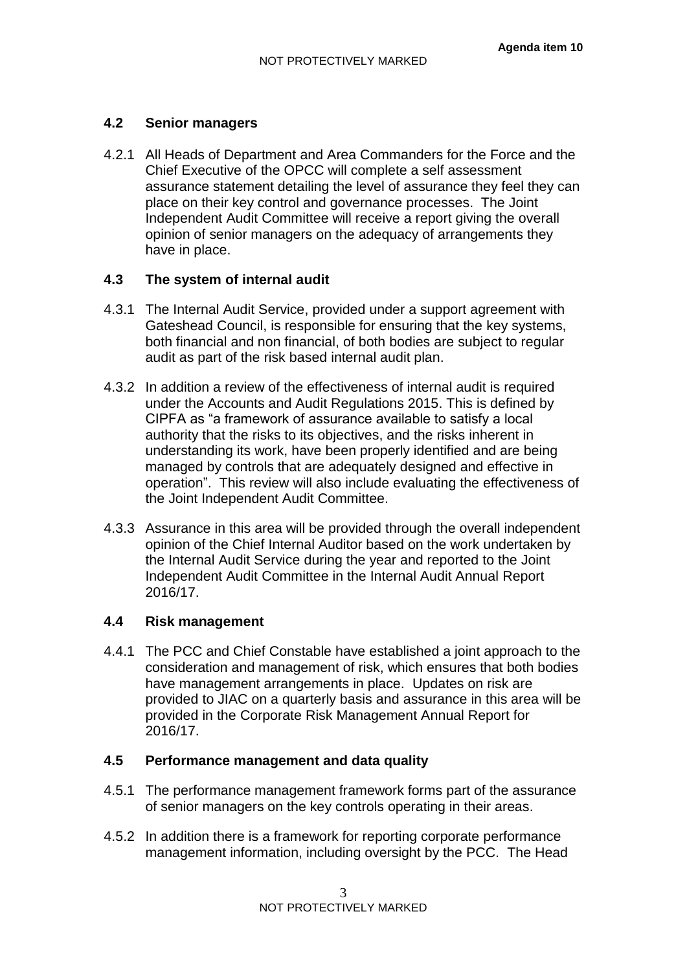#### **4.2 Senior managers**

4.2.1 All Heads of Department and Area Commanders for the Force and the Chief Executive of the OPCC will complete a self assessment assurance statement detailing the level of assurance they feel they can place on their key control and governance processes. The Joint Independent Audit Committee will receive a report giving the overall opinion of senior managers on the adequacy of arrangements they have in place.

## **4.3 The system of internal audit**

- 4.3.1 The Internal Audit Service, provided under a support agreement with Gateshead Council, is responsible for ensuring that the key systems, both financial and non financial, of both bodies are subject to regular audit as part of the risk based internal audit plan.
- 4.3.2 In addition a review of the effectiveness of internal audit is required under the Accounts and Audit Regulations 2015. This is defined by CIPFA as "a framework of assurance available to satisfy a local authority that the risks to its objectives, and the risks inherent in understanding its work, have been properly identified and are being managed by controls that are adequately designed and effective in operation". This review will also include evaluating the effectiveness of the Joint Independent Audit Committee.
- 4.3.3 Assurance in this area will be provided through the overall independent opinion of the Chief Internal Auditor based on the work undertaken by the Internal Audit Service during the year and reported to the Joint Independent Audit Committee in the Internal Audit Annual Report 2016/17.

#### **4.4 Risk management**

4.4.1 The PCC and Chief Constable have established a joint approach to the consideration and management of risk, which ensures that both bodies have management arrangements in place. Updates on risk are provided to JIAC on a quarterly basis and assurance in this area will be provided in the Corporate Risk Management Annual Report for 2016/17.

## **4.5 Performance management and data quality**

- 4.5.1 The performance management framework forms part of the assurance of senior managers on the key controls operating in their areas.
- 4.5.2 In addition there is a framework for reporting corporate performance management information, including oversight by the PCC. The Head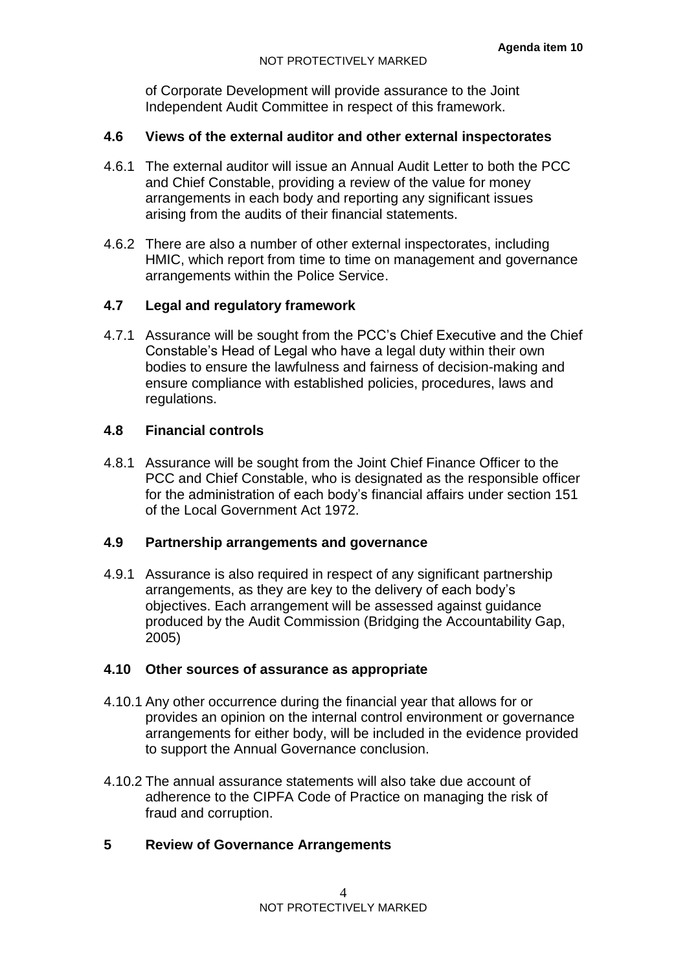of Corporate Development will provide assurance to the Joint Independent Audit Committee in respect of this framework.

## **4.6 Views of the external auditor and other external inspectorates**

- 4.6.1 The external auditor will issue an Annual Audit Letter to both the PCC and Chief Constable, providing a review of the value for money arrangements in each body and reporting any significant issues arising from the audits of their financial statements.
- 4.6.2 There are also a number of other external inspectorates, including HMIC, which report from time to time on management and governance arrangements within the Police Service.

## **4.7 Legal and regulatory framework**

4.7.1 Assurance will be sought from the PCC's Chief Executive and the Chief Constable's Head of Legal who have a legal duty within their own bodies to ensure the lawfulness and fairness of decision-making and ensure compliance with established policies, procedures, laws and regulations.

## **4.8 Financial controls**

4.8.1 Assurance will be sought from the Joint Chief Finance Officer to the PCC and Chief Constable, who is designated as the responsible officer for the administration of each body's financial affairs under section 151 of the Local Government Act 1972.

#### **4.9 Partnership arrangements and governance**

4.9.1 Assurance is also required in respect of any significant partnership arrangements, as they are key to the delivery of each body's objectives. Each arrangement will be assessed against guidance produced by the Audit Commission (Bridging the Accountability Gap, 2005)

#### **4.10 Other sources of assurance as appropriate**

- 4.10.1 Any other occurrence during the financial year that allows for or provides an opinion on the internal control environment or governance arrangements for either body, will be included in the evidence provided to support the Annual Governance conclusion.
- 4.10.2 The annual assurance statements will also take due account of adherence to the CIPFA Code of Practice on managing the risk of fraud and corruption.

## **5 Review of Governance Arrangements**